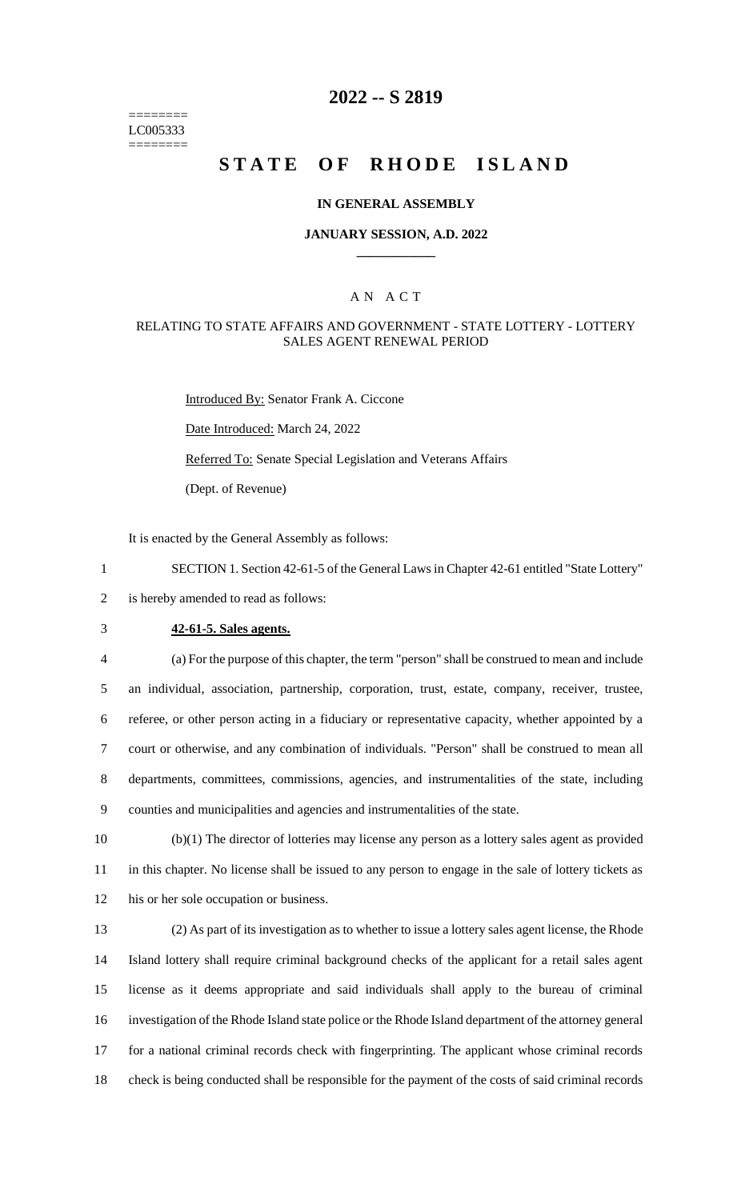======== LC005333 ========

## **2022 -- S 2819**

# **STATE OF RHODE ISLAND**

#### **IN GENERAL ASSEMBLY**

### **JANUARY SESSION, A.D. 2022 \_\_\_\_\_\_\_\_\_\_\_\_**

### A N A C T

#### RELATING TO STATE AFFAIRS AND GOVERNMENT - STATE LOTTERY - LOTTERY SALES AGENT RENEWAL PERIOD

Introduced By: Senator Frank A. Ciccone

Date Introduced: March 24, 2022

Referred To: Senate Special Legislation and Veterans Affairs

(Dept. of Revenue)

It is enacted by the General Assembly as follows:

1 SECTION 1. Section 42-61-5 of the General Laws in Chapter 42-61 entitled "State Lottery"

2 is hereby amended to read as follows:

3 **42-61-5. Sales agents.**

 (a) For the purpose of this chapter, the term "person" shall be construed to mean and include an individual, association, partnership, corporation, trust, estate, company, receiver, trustee, referee, or other person acting in a fiduciary or representative capacity, whether appointed by a court or otherwise, and any combination of individuals. "Person" shall be construed to mean all departments, committees, commissions, agencies, and instrumentalities of the state, including counties and municipalities and agencies and instrumentalities of the state.

10 (b)(1) The director of lotteries may license any person as a lottery sales agent as provided 11 in this chapter. No license shall be issued to any person to engage in the sale of lottery tickets as 12 his or her sole occupation or business.

 (2) As part of its investigation as to whether to issue a lottery sales agent license, the Rhode Island lottery shall require criminal background checks of the applicant for a retail sales agent license as it deems appropriate and said individuals shall apply to the bureau of criminal investigation of the Rhode Island state police or the Rhode Island department of the attorney general for a national criminal records check with fingerprinting. The applicant whose criminal records check is being conducted shall be responsible for the payment of the costs of said criminal records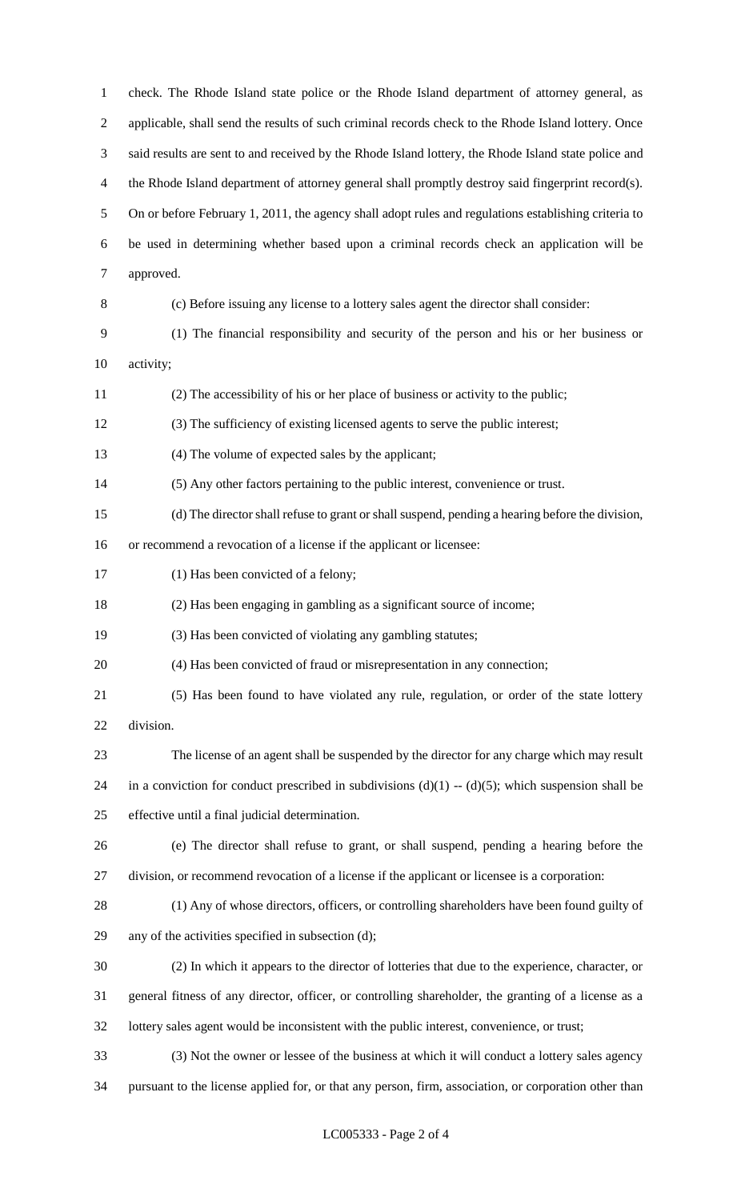check. The Rhode Island state police or the Rhode Island department of attorney general, as applicable, shall send the results of such criminal records check to the Rhode Island lottery. Once said results are sent to and received by the Rhode Island lottery, the Rhode Island state police and 4 the Rhode Island department of attorney general shall promptly destroy said fingerprint record(s). On or before February 1, 2011, the agency shall adopt rules and regulations establishing criteria to be used in determining whether based upon a criminal records check an application will be approved. (c) Before issuing any license to a lottery sales agent the director shall consider: (1) The financial responsibility and security of the person and his or her business or activity; (2) The accessibility of his or her place of business or activity to the public; (3) The sufficiency of existing licensed agents to serve the public interest; (4) The volume of expected sales by the applicant; (5) Any other factors pertaining to the public interest, convenience or trust. (d) The director shall refuse to grant or shall suspend, pending a hearing before the division, or recommend a revocation of a license if the applicant or licensee: 17 (1) Has been convicted of a felony; (2) Has been engaging in gambling as a significant source of income; (3) Has been convicted of violating any gambling statutes; (4) Has been convicted of fraud or misrepresentation in any connection; (5) Has been found to have violated any rule, regulation, or order of the state lottery division. The license of an agent shall be suspended by the director for any charge which may result 24 in a conviction for conduct prescribed in subdivisions  $(d)(1) - (d)(5)$ ; which suspension shall be effective until a final judicial determination. (e) The director shall refuse to grant, or shall suspend, pending a hearing before the division, or recommend revocation of a license if the applicant or licensee is a corporation: (1) Any of whose directors, officers, or controlling shareholders have been found guilty of any of the activities specified in subsection (d); (2) In which it appears to the director of lotteries that due to the experience, character, or general fitness of any director, officer, or controlling shareholder, the granting of a license as a lottery sales agent would be inconsistent with the public interest, convenience, or trust; (3) Not the owner or lessee of the business at which it will conduct a lottery sales agency pursuant to the license applied for, or that any person, firm, association, or corporation other than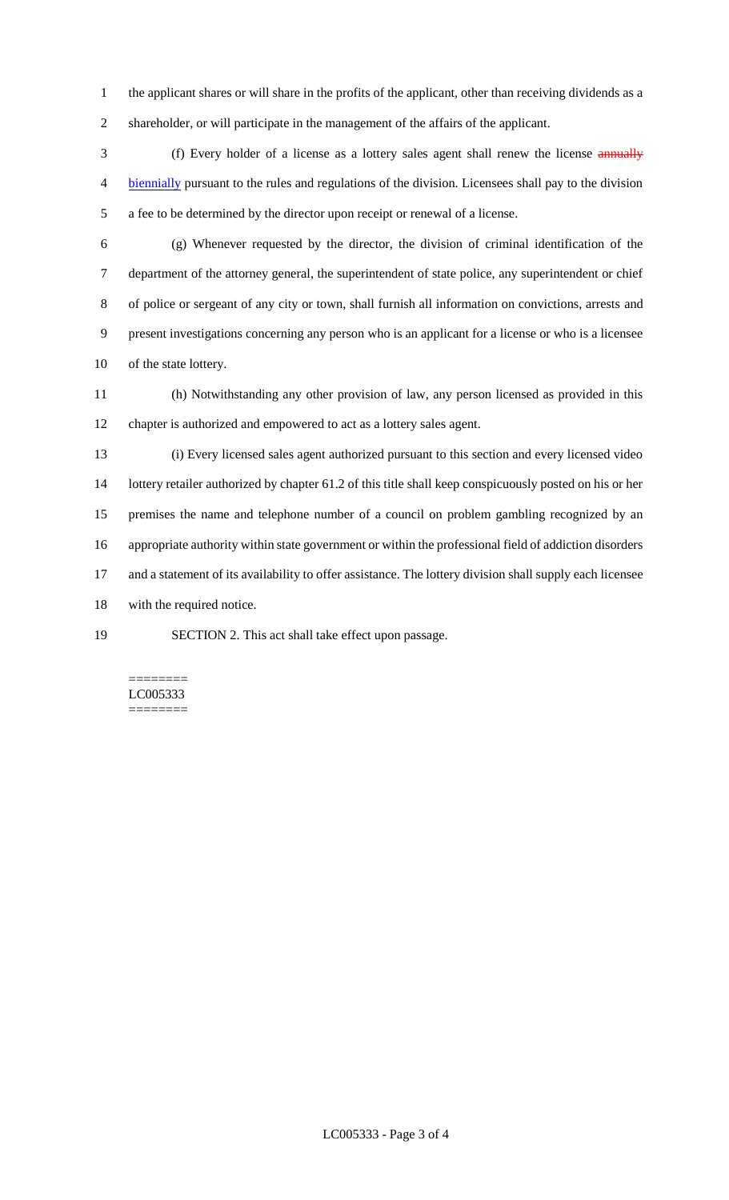the applicant shares or will share in the profits of the applicant, other than receiving dividends as a shareholder, or will participate in the management of the affairs of the applicant.

 (f) Every holder of a license as a lottery sales agent shall renew the license annually biennially pursuant to the rules and regulations of the division. Licensees shall pay to the division a fee to be determined by the director upon receipt or renewal of a license.

 (g) Whenever requested by the director, the division of criminal identification of the department of the attorney general, the superintendent of state police, any superintendent or chief of police or sergeant of any city or town, shall furnish all information on convictions, arrests and present investigations concerning any person who is an applicant for a license or who is a licensee of the state lottery.

 (h) Notwithstanding any other provision of law, any person licensed as provided in this chapter is authorized and empowered to act as a lottery sales agent.

 (i) Every licensed sales agent authorized pursuant to this section and every licensed video lottery retailer authorized by chapter 61.2 of this title shall keep conspicuously posted on his or her premises the name and telephone number of a council on problem gambling recognized by an appropriate authority within state government or within the professional field of addiction disorders 17 and a statement of its availability to offer assistance. The lottery division shall supply each licensee with the required notice.

SECTION 2. This act shall take effect upon passage.

======== LC005333 ========